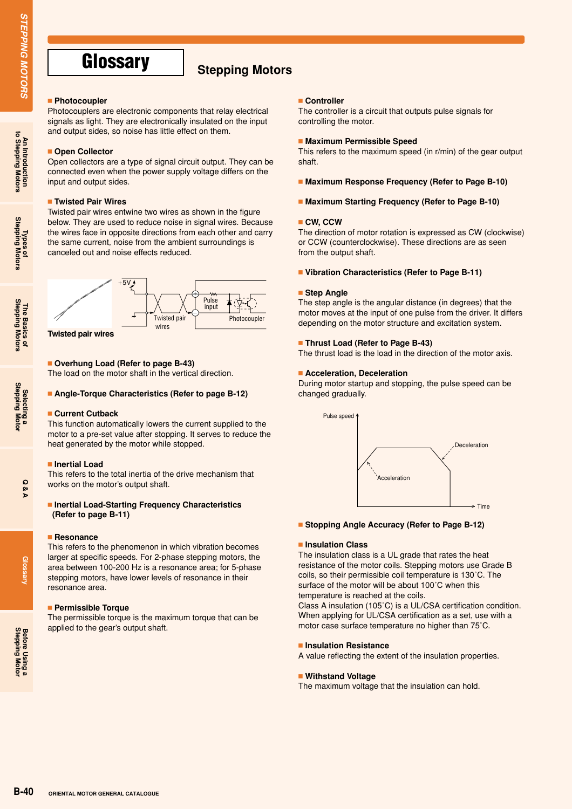**An Introduction to Stepping Motors**

**Types of Stepping Motors**

**The Basics of Stepping Motors**

**Selecting a Stepping Motor**

# **Glossary** Stepping Motors

#### **Photocoupler**

Photocouplers are electronic components that relay electrical signals as light. They are electronically insulated on the input and output sides, so noise has little effect on them.

#### **Doen Collector**

Open collectors are a type of signal circuit output. They can be connected even when the power supply voltage differs on the input and output sides.

#### **Twisted Pair Wires**

Twisted pair wires entwine two wires as shown in the figure below. They are used to reduce noise in signal wires. Because the wires face in opposite directions from each other and carry the same current, noise from the ambient surroundings is canceled out and noise effects reduced.



**Twisted pair wires**

### **Overhung Load (Refer to page B-43)**

The load on the motor shaft in the vertical direction.

#### **Angle-Torque Characteristics (Refer to page B-12)**

#### **Current Cutback**

This function automatically lowers the current supplied to the motor to a pre-set value after stopping. It serves to reduce the heat generated by the motor while stopped.

#### **Inertial Load**

This refers to the total inertia of the drive mechanism that works on the motor's output shaft.

#### **Inertial Load-Starting Frequency Characteristics (Refer to page B-11)**

#### **Resonance**

This refers to the phenomenon in which vibration becomes larger at specific speeds. For 2-phase stepping motors, the area between 100-200 Hz is a resonance area; for 5-phase stepping motors, have lower levels of resonance in their resonance area.

#### **Permissible Torque**

The permissible torque is the maximum torque that can be applied to the gear's output shaft.

#### **Controller**

The controller is a circuit that outputs pulse signals for controlling the motor.

#### **Maximum Permissible Speed**

This refers to the maximum speed (in r/min) of the gear output shaft.

- **Maximum Response Frequency (Refer to Page B-10)**
- **Maximum Starting Frequency (Refer to Page B-10)**

#### **CW, CCW**

The direction of motor rotation is expressed as CW (clockwise) or CCW (counterclockwise). These directions are as seen from the output shaft.

#### **Vibration Characteristics (Refer to Page B-11)**

#### **Step Angle**

The step angle is the angular distance (in degrees) that the motor moves at the input of one pulse from the driver. It differs depending on the motor structure and excitation system.

#### **Thrust Load (Refer to Page B-43)**

The thrust load is the load in the direction of the motor axis.

#### **Acceleration, Deceleration**

During motor startup and stopping, the pulse speed can be changed gradually.



#### **Stopping Angle Accuracy (Refer to Page B-12)**

#### **Insulation Class**

The insulation class is a UL grade that rates the heat resistance of the motor coils. Stepping motors use Grade B coils, so their permissible coil temperature is 130˚C. The surface of the motor will be about 100°C when this temperature is reached at the coils.

Class A insulation (105˚C) is a UL/CSA certification condition. When applying for UL/CSA certification as a set, use with a motor case surface temperature no higher than 75˚C.

#### **Insulation Resistance**

A value reflecting the extent of the insulation properties.

#### **Withstand Voltage**

The maximum voltage that the insulation can hold.

**Glossary**

**Before Using a**<br>**Stepping Moto**